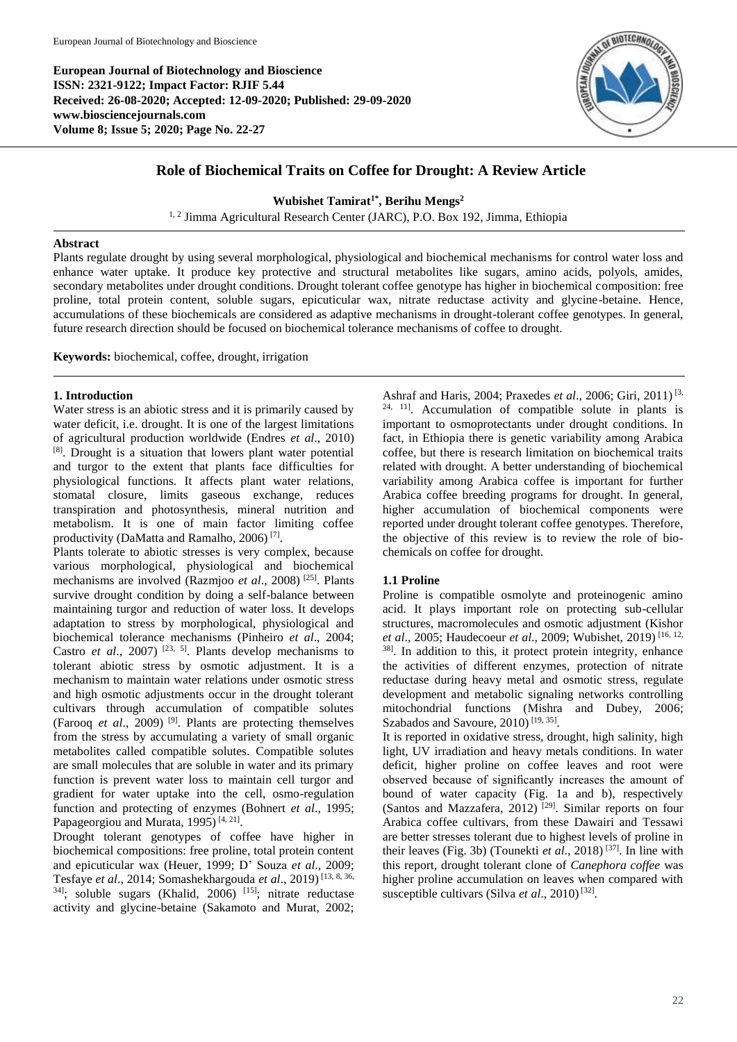**European Journal of Biotechnology and Bioscience ISSN: 2321-9122; Impact Factor: RJIF 5.44 Received: 26-08-2020; Accepted: 12-09-2020; Published: 29-09-2020 www.biosciencejournals.com Volume 8; Issue 5; 2020; Page No. 22-27**



# **Role of Biochemical Traits on Coffee for Drought: A Review Article**

**Wubishet Tamirat1\*, Berihu Mengs<sup>2</sup>**

<sup>1, 2</sup> Jimma Agricultural Research Center (JARC), P.O. Box 192, Jimma, Ethiopia

# **Abstract**

Plants regulate drought by using several morphological, physiological and biochemical mechanisms for control water loss and enhance water uptake. It produce key protective and structural metabolites like sugars, amino acids, polyols, amides, secondary metabolites under drought conditions. Drought tolerant coffee genotype has higher in biochemical composition: free proline, total protein content, soluble sugars, epicuticular wax, nitrate reductase activity and glycine-betaine. Hence, accumulations of these biochemicals are considered as adaptive mechanisms in drought-tolerant coffee genotypes. In general, future research direction should be focused on biochemical tolerance mechanisms of coffee to drought.

**Keywords:** biochemical, coffee, drought, irrigation

# **1. Introduction**

Water stress is an abiotic stress and it is primarily caused by water deficit, i.e. drought. It is one of the largest limitations of agricultural production worldwide (Endres *et al*., 2010) [8]. Drought is a situation that lowers plant water potential and turgor to the extent that plants face difficulties for physiological functions. It affects plant water relations, stomatal closure, limits gaseous exchange, reduces transpiration and photosynthesis, mineral nutrition and metabolism. It is one of main factor limiting coffee productivity (DaMatta and Ramalho, 2006)<sup>[7]</sup>.

Plants tolerate to abiotic stresses is very complex, because various morphological, physiological and biochemical mechanisms are involved (Razmjoo *et al*., 2008) [25]. Plants survive drought condition by doing a self-balance between maintaining turgor and reduction of water loss. It develops adaptation to stress by morphological, physiological and biochemical tolerance mechanisms (Pinheiro *et al*., 2004; Castro *et al.*, 2007)<sup>[23, 5]</sup>. Plants develop mechanisms to tolerant abiotic stress by osmotic adjustment. It is a mechanism to maintain water relations under osmotic stress and high osmotic adjustments occur in the drought tolerant cultivars through accumulation of compatible solutes (Farooq *et al*., 2009) [9]. Plants are protecting themselves from the stress by accumulating a variety of small organic metabolites called compatible solutes. Compatible solutes are small molecules that are soluble in water and its primary function is prevent water loss to maintain cell turgor and gradient for water uptake into the cell, osmo-regulation function and protecting of enzymes (Bohnert *et al*., 1995; Papageorgiou and Murata, 1995)<sup>[4, 21]</sup>.

Drought tolerant genotypes of coffee have higher in biochemical compositions: free proline, total protein content and epicuticular wax (Heuer, 1999; D' Souza *et al*., 2009; Tesfaye *et al*., 2014; Somashekhargouda *et al*., 2019) [13, 8, 36,  $34$ ]; soluble sugars (Khalid, 2006) [15]; nitrate reductase activity and glycine-betaine (Sakamoto and Murat, 2002;

Ashraf and Haris, 2004; Praxedes *et al*., 2006; Giri, 2011) [3, 24, 11]. Accumulation of compatible solute in plants is important to osmoprotectants under drought conditions. In fact, in Ethiopia there is genetic variability among Arabica coffee, but there is research limitation on biochemical traits related with drought. A better understanding of biochemical variability among Arabica coffee is important for further Arabica coffee breeding programs for drought. In general, higher accumulation of biochemical components were reported under drought tolerant coffee genotypes. Therefore, the objective of this review is to review the role of biochemicals on coffee for drought.

# **1.1 Proline**

Proline is compatible osmolyte and proteinogenic amino acid. It plays important role on protecting sub-cellular structures, macromolecules and osmotic adjustment (Kishor *et al*., 2005; Haudecoeur *et al*., 2009; Wubishet, 2019) [16, 12, 38]. In addition to this, it protect protein integrity, enhance the activities of different enzymes, protection of nitrate reductase during heavy metal and osmotic stress, regulate development and metabolic signaling networks controlling mitochondrial functions (Mishra and Dubey, 2006; Szabados and Savoure, 2010)<sup>[19, 35]</sup>.

It is reported in oxidative stress, drought, high salinity, high light, UV irradiation and heavy metals conditions. In water deficit, higher proline on coffee leaves and root were observed because of significantly increases the amount of bound of water capacity (Fig. 1a and b), respectively (Santos and Mazzafera, 2012)<sup>[29]</sup>. Similar reports on four Arabica coffee cultivars, from these Dawairi and Tessawi are better stresses tolerant due to highest levels of proline in their leaves (Fig. 3b) (Tounekti *et al*., 2018) [37]. In line with this report, drought tolerant clone of *Canephora coffee* was higher proline accumulation on leaves when compared with susceptible cultivars (Silva *et al.*, 2010)<sup>[32]</sup>.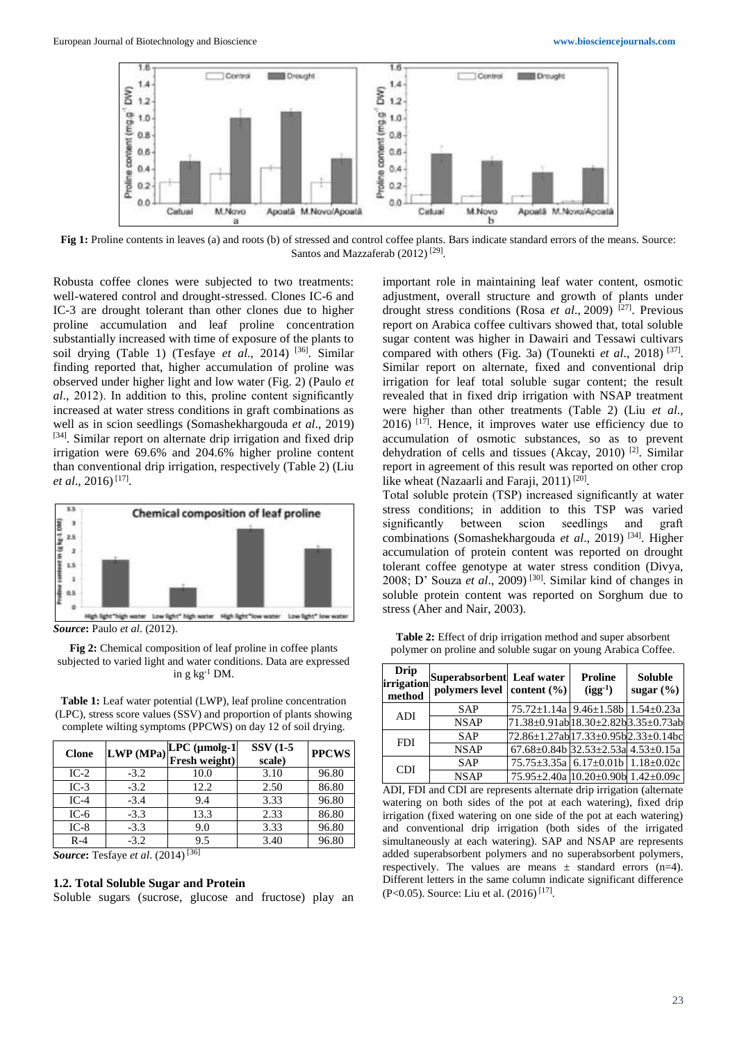

**Fig 1:** Proline contents in leaves (a) and roots (b) of stressed and control coffee plants. Bars indicate standard errors of the means. Source: Santos and Mazzaferab (2012)<sup>[29]</sup>.

Robusta coffee clones were subjected to two treatments: well-watered control and drought-stressed. Clones IC-6 and IC-3 are drought tolerant than other clones due to higher proline accumulation and leaf proline concentration substantially increased with time of exposure of the plants to soil drying (Table 1) (Tesfaye *et al*., 2014) [36]. Similar finding reported that, higher accumulation of proline was observed under higher light and low water (Fig. 2) (Paulo *et al*., 2012). In addition to this, proline content significantly increased at water stress conditions in graft combinations as well as in scion seedlings (Somashekhargouda *et al*., 2019) [34]. Similar report on alternate drip irrigation and fixed drip irrigation were 69.6% and 204.6% higher proline content than conventional drip irrigation, respectively (Table 2) (Liu *et al*., 2016) [17] .



*Source***:** Paulo *et al*. (2012).

**Table 1:** Leaf water potential (LWP), leaf proline concentration (LPC), stress score values (SSV) and proportion of plants showing complete wilting symptoms (PPCWS) on day 12 of soil drying.

| <b>Clone</b> |        | LPC (µmolg-1<br>$ LWP(MPa) ^{L1 \nightharpoonup}$ resh weight) <sup> </sup> | <b>SSV</b> (1-5<br>scale) | <b>PPCWS</b> |
|--------------|--------|-----------------------------------------------------------------------------|---------------------------|--------------|
| $IC-2$       | $-3.2$ | 10.0                                                                        | 3.10                      | 96.80        |
| $IC-3$       | $-3.2$ | 12.2                                                                        | 2.50                      | 86.80        |
| $IC-4$       | $-3.4$ | 9.4                                                                         | 3.33                      | 96.80        |
| $IC-6$       | $-3.3$ | 13.3                                                                        | 2.33                      | 86.80        |
| $IC-8$       | $-3.3$ | 9.0                                                                         | 3.33                      | 96.80        |
| $R-4$        | $-3.2$ | 9.5                                                                         | 3.40                      | 96.80        |

*Source***:** Tesfaye *et al*. (2014) [36]

#### **1.2. Total Soluble Sugar and Protein**

Soluble sugars (sucrose, glucose and fructose) play an

important role in maintaining leaf water content, osmotic adjustment, overall structure and growth of plants under drought stress conditions (Rosa *et al*., 2009) [27]. Previous report on Arabica coffee cultivars showed that, total soluble sugar content was higher in Dawairi and Tessawi cultivars compared with others (Fig. 3a) (Tounekti et al., 2018)<sup>[37]</sup>. Similar report on alternate, fixed and conventional drip irrigation for leaf total soluble sugar content; the result revealed that in fixed drip irrigation with NSAP treatment were higher than other treatments (Table 2) (Liu *et al*.,  $2016$ )  $[17]$ . Hence, it improves water use efficiency due to accumulation of osmotic substances, so as to prevent dehydration of cells and tissues (Akcay, 2010) [2]. Similar report in agreement of this result was reported on other crop like wheat (Nazaarli and Faraji, 2011)<sup>[20]</sup>.

Total soluble protein (TSP) increased significantly at water stress conditions; in addition to this TSP was varied significantly between scion seedlings and graft combinations (Somashekhargouda *et al*., 2019) [34]. Higher accumulation of protein content was reported on drought tolerant coffee genotype at water stress condition (Divya, 2008; D' Souza *et al*., 2009) [30]. Similar kind of changes in soluble protein content was reported on Sorghum due to stress (Aher and Nair, 2003).

**Table 2:** Effect of drip irrigation method and super absorbent polymer on proline and soluble sugar on young Arabica Coffee.

| <b>Drip</b><br>irrigation<br>method | Superabsorbent Leaf water<br>polymers level content (%) |                                                         | <b>Proline</b><br>$(igg^{-1})$ | <b>Soluble</b><br>sugar $(\% )$ |
|-------------------------------------|---------------------------------------------------------|---------------------------------------------------------|--------------------------------|---------------------------------|
| <b>ADI</b>                          | <b>SAP</b>                                              | $75.72 \pm 1.14a$   9.46 $\pm$ 1.58b   1.54 $\pm$ 0.23a |                                |                                 |
|                                     | <b>NSAP</b>                                             | 71.38±0.91ab 18.30±2.82b 3.35±0.73ab                    |                                |                                 |
| <b>FDI</b>                          | <b>SAP</b>                                              | 72.86±1.27ab 17.33±0.95b 2.33±0.14bc                    |                                |                                 |
|                                     | <b>NSAP</b>                                             | $67.68 \pm 0.84$ b 32.53 $\pm$ 2.53a 4.53 $\pm$ 0.15a   |                                |                                 |
| <b>CDI</b>                          | <b>SAP</b>                                              | $75.75 \pm 3.35a$ 6.17 $\pm$ 0.01b 1.18 $\pm$ 0.02c     |                                |                                 |
|                                     | <b>NSAP</b>                                             | 75.95±2.40a 10.20±0.90b 1.42±0.09c                      |                                |                                 |

ADI, FDI and CDI are represents alternate drip irrigation (alternate watering on both sides of the pot at each watering), fixed drip irrigation (fixed watering on one side of the pot at each watering) and conventional drip irrigation (both sides of the irrigated simultaneously at each watering). SAP and NSAP are represents added superabsorbent polymers and no superabsorbent polymers, respectively. The values are means  $\pm$  standard errors (n=4). Different letters in the same column indicate significant difference (P<0.05). Source: Liu et al.  $(2016)$ <sup>[17]</sup>.

**Fig 2:** Chemical composition of leaf proline in coffee plants subjected to varied light and water conditions. Data are expressed in  $g kg^{-1} DM$ .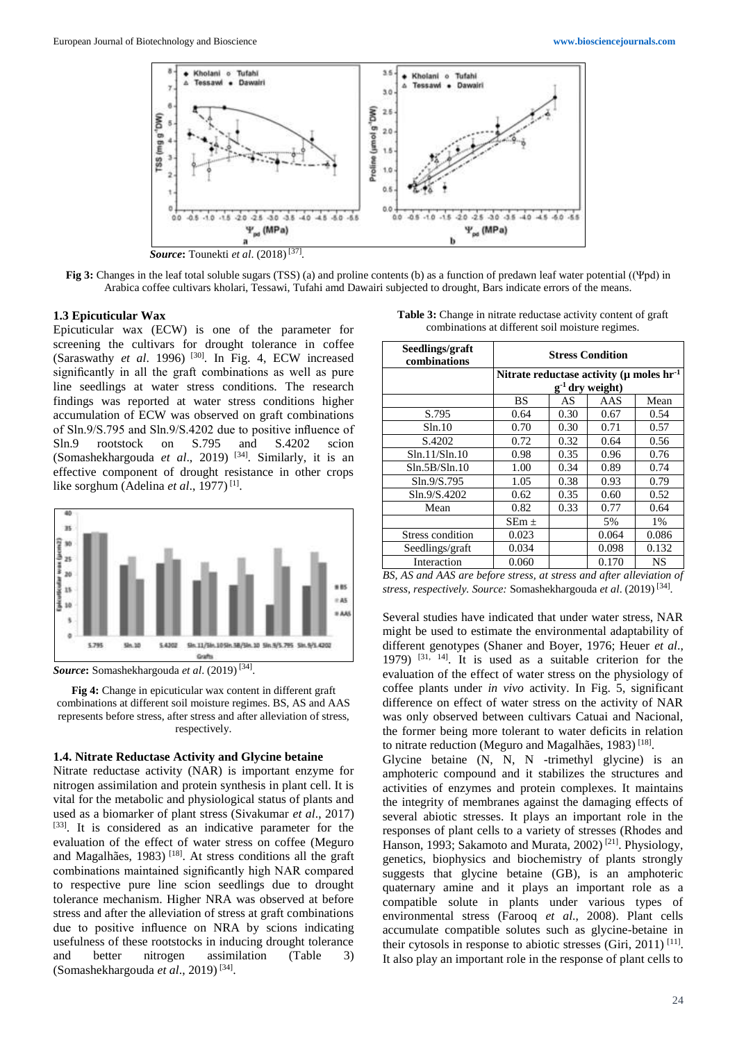

**Fig 3:** Changes in the leaf total soluble sugars (TSS) (a) and proline contents (b) as a function of predawn leaf water potential ((Ψpd) in Arabica coffee cultivars kholari, Tessawi, Tufahi amd Dawairi subjected to drought, Bars indicate errors of the means.

#### **1.3 Epicuticular Wax**

Epicuticular wax (ECW) is one of the parameter for screening the cultivars for drought tolerance in coffee (Saraswathy *et al*. 1996) [30]. In Fig. 4, ECW increased significantly in all the graft combinations as well as pure line seedlings at water stress conditions. The research findings was reported at water stress conditions higher accumulation of ECW was observed on graft combinations of Sln.9/S.795 and Sln.9/S.4202 due to positive influence of Sln.9 rootstock on S.795 and S.4202 scion (Somashekhargouda *et al*., 2019) [34] . Similarly, it is an effective component of drought resistance in other crops like sorghum (Adelina *et al*., 1977) [1] .



*Source***:** Somashekhargouda *et al*. (2019) [34] .

**Fig 4:** Change in epicuticular wax content in different graft combinations at different soil moisture regimes. BS, AS and AAS represents before stress, after stress and after alleviation of stress, respectively.

#### **1.4. Nitrate Reductase Activity and Glycine betaine**

Nitrate reductase activity (NAR) is important enzyme for nitrogen assimilation and protein synthesis in plant cell. It is vital for the metabolic and physiological status of plants and used as a biomarker of plant stress (Sivakumar *et al*., 2017) [33]. It is considered as an indicative parameter for the evaluation of the effect of water stress on coffee (Meguro and Magalhães, 1983) [18]. At stress conditions all the graft combinations maintained significantly high NAR compared to respective pure line scion seedlings due to drought tolerance mechanism. Higher NRA was observed at before stress and after the alleviation of stress at graft combinations due to positive influence on NRA by scions indicating usefulness of these rootstocks in inducing drought tolerance and better nitrogen assimilation (Table 3) (Somashekhargouda *et al*., 2019) [34] .

**Table 3:** Change in nitrate reductase activity content of graft combinations at different soil moisture regimes.

| Seedlings/graft<br>combinations | <b>Stress Condition</b>                                                           |      |       |       |  |
|---------------------------------|-----------------------------------------------------------------------------------|------|-------|-------|--|
|                                 | Nitrate reductase activity ( $\mu$ moles hr <sup>-1</sup><br>$g^{-1}$ dry weight) |      |       |       |  |
|                                 | <b>BS</b>                                                                         | AS   | AAS   | Mean  |  |
| S.795                           | 0.64                                                                              | 0.30 | 0.67  | 0.54  |  |
| Sln.10                          | 0.70                                                                              | 0.30 | 0.71  | 0.57  |  |
| S.4202                          | 0.72                                                                              | 0.32 | 0.64  | 0.56  |  |
| Sln.11/Sln.10                   | 0.98                                                                              | 0.35 | 0.96  | 0.76  |  |
| Sln.5B/Sln.10                   | 1.00                                                                              | 0.34 | 0.89  | 0.74  |  |
| Sln.9/S.795                     | 1.05                                                                              | 0.38 | 0.93  | 0.79  |  |
| Sln.9/S.4202                    | 0.62                                                                              | 0.35 | 0.60  | 0.52  |  |
| Mean                            | 0.82                                                                              | 0.33 | 0.77  | 0.64  |  |
|                                 | $SEm \pm$                                                                         |      | 5%    | $1\%$ |  |
| Stress condition                | 0.023                                                                             |      | 0.064 | 0.086 |  |
| Seedlings/graft                 | 0.034                                                                             |      | 0.098 | 0.132 |  |
| Interaction                     | 0.060                                                                             |      | 0.170 | NS    |  |

*BS, AS and AAS are before stress, at stress and after alleviation of stress, respectively. Source:* Somashekhargouda *et al*. (2019) [34] .

Several studies have indicated that under water stress, NAR might be used to estimate the environmental adaptability of different genotypes (Shaner and Boyer, 1976; Heuer *et al*., 1979) [31, 14]. It is used as a suitable criterion for the evaluation of the effect of water stress on the physiology of coffee plants under *in vivo* activity. In Fig. 5, significant difference on effect of water stress on the activity of NAR was only observed between cultivars Catuai and Nacional, the former being more tolerant to water deficits in relation to nitrate reduction (Meguro and Magalhães, 1983)<sup>[18]</sup>.

Glycine betaine (N, N, N -trimethyl glycine) is an amphoteric compound and it stabilizes the structures and activities of enzymes and protein complexes. It maintains the integrity of membranes against the damaging effects of several abiotic stresses. It plays an important role in the responses of plant cells to a variety of stresses (Rhodes and Hanson, 1993; Sakamoto and Murata, 2002)<sup>[21]</sup>. Physiology, genetics, biophysics and biochemistry of plants strongly suggests that glycine betaine (GB), is an amphoteric quaternary amine and it plays an important role as a compatible solute in plants under various types of environmental stress (Farooq *et al*., 2008). Plant cells accumulate compatible solutes such as glycine-betaine in their cytosols in response to abiotic stresses (Giri, 2011)<sup>[11]</sup>. It also play an important role in the response of plant cells to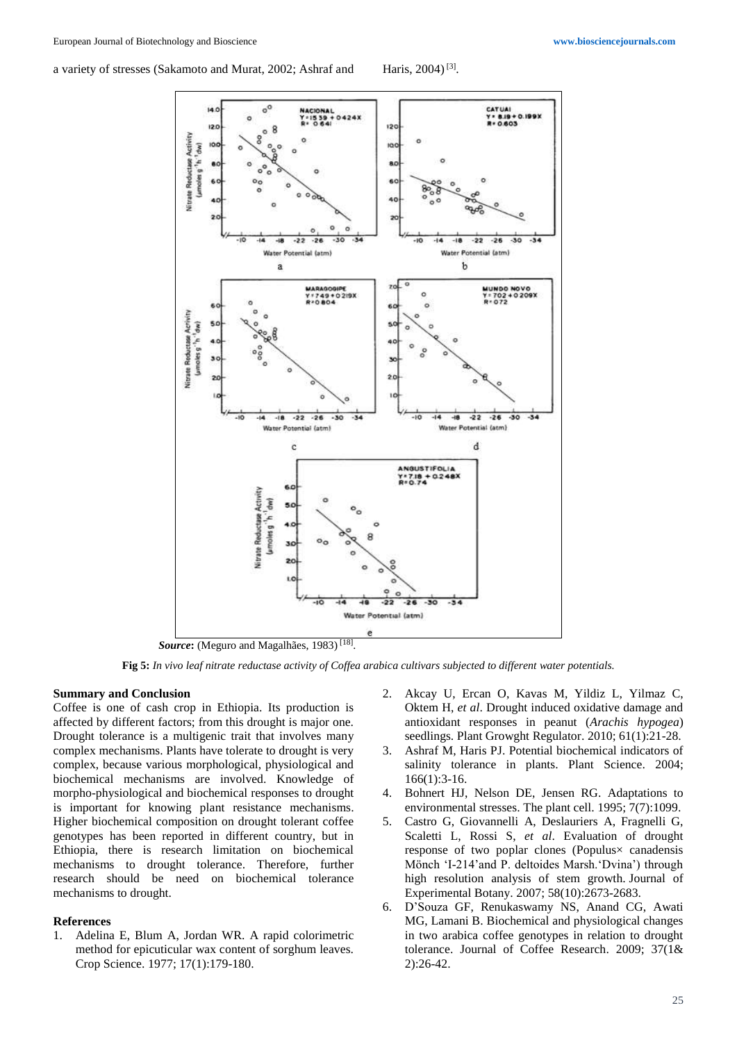a variety of stresses (Sakamoto and Murat, 2002; Ashraf and



*Source***:** (Meguro and Magalhães, 1983) [18] .

**Fig 5:** *In vivo leaf nitrate reductase activity of Coffea arabica cultivars subjected to different water potentials.*

#### **Summary and Conclusion**

Coffee is one of cash crop in Ethiopia. Its production is affected by different factors; from this drought is major one. Drought tolerance is a multigenic trait that involves many complex mechanisms. Plants have tolerate to drought is very complex, because various morphological, physiological and biochemical mechanisms are involved. Knowledge of morpho-physiological and biochemical responses to drought is important for knowing plant resistance mechanisms. Higher biochemical composition on drought tolerant coffee genotypes has been reported in different country, but in Ethiopia, there is research limitation on biochemical mechanisms to drought tolerance. Therefore, further research should be need on biochemical tolerance mechanisms to drought.

# **References**

1. Adelina E, Blum A, Jordan WR. A rapid colorimetric method for epicuticular wax content of sorghum leaves. Crop Science. 1977; 17(1):179-180.

- 2. Akcay U, Ercan O, Kavas M, Yildiz L, Yilmaz C, Oktem H, *et al*. Drought induced oxidative damage and antioxidant responses in peanut (*Arachis hypogea*) seedlings. Plant Growght Regulator. 2010; 61(1):21-28.
- 3. Ashraf M, Haris PJ. Potential biochemical indicators of salinity tolerance in plants. Plant Science. 2004; 166(1):3-16.
- 4. Bohnert HJ, Nelson DE, Jensen RG. Adaptations to environmental stresses. The plant cell. 1995; 7(7):1099.
- 5. Castro G, Giovannelli A, Deslauriers A, Fragnelli G, Scaletti L, Rossi S, *et al*. Evaluation of drought response of two poplar clones (Populus× canadensis Mönch 'I-214'and P. deltoides Marsh.'Dvina') through high resolution analysis of stem growth. Journal of Experimental Botany. 2007; 58(10):2673-2683.
- 6. D'Souza GF, Renukaswamy NS, Anand CG, Awati MG, Lamani B. Biochemical and physiological changes in two arabica coffee genotypes in relation to drought tolerance. Journal of Coffee Research. 2009; 37(1& 2):26-42.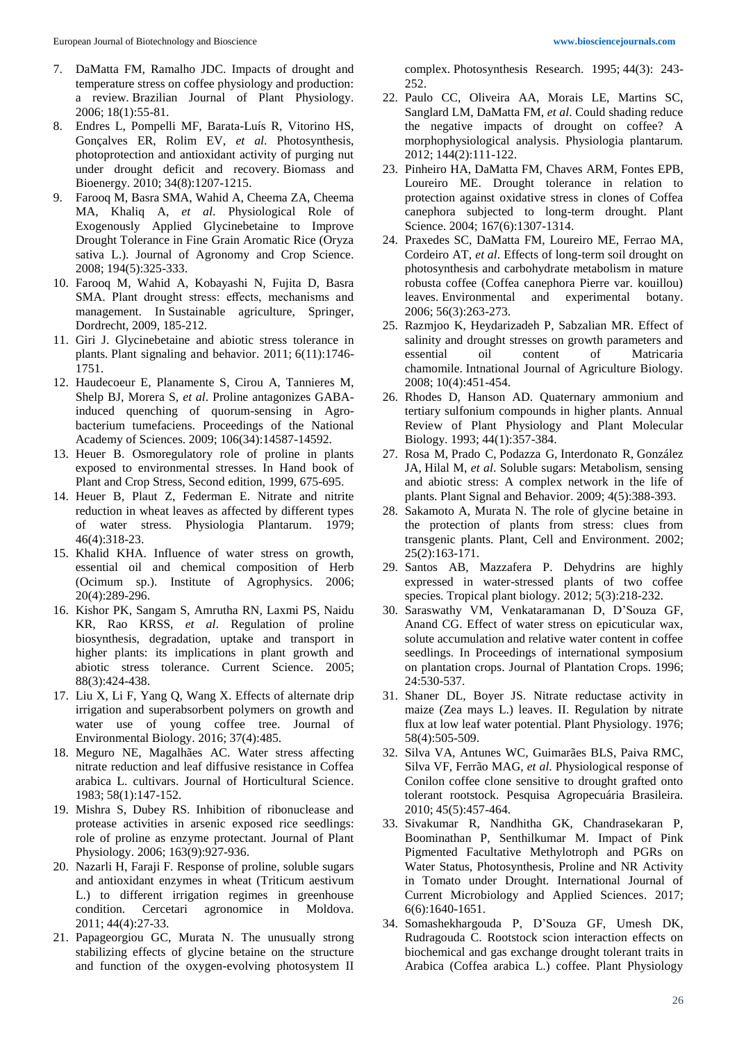- 7. DaMatta FM, Ramalho JDC. Impacts of drought and temperature stress on coffee physiology and production: a review. Brazilian Journal of Plant Physiology. 2006; 18(1):55-81.
- 8. Endres L, Pompelli MF, Barata-Luís R, Vitorino HS, Gonçalves ER, Rolim EV, *et al*. Photosynthesis, photoprotection and antioxidant activity of purging nut under drought deficit and recovery. Biomass and Bioenergy. 2010; 34(8):1207-1215.
- 9. Farooq M, Basra SMA, Wahid A, Cheema ZA, Cheema MA, Khaliq A, *et al*. Physiological Role of Exogenously Applied Glycinebetaine to Improve Drought Tolerance in Fine Grain Aromatic Rice (Oryza sativa L.). Journal of Agronomy and Crop Science. 2008; 194(5):325-333.
- 10. Farooq M, Wahid A, Kobayashi N, Fujita D, Basra SMA. Plant drought stress: effects, mechanisms and management. In Sustainable agriculture, Springer, Dordrecht, 2009, 185-212.
- 11. Giri J. Glycinebetaine and abiotic stress tolerance in plants. Plant signaling and behavior. 2011; 6(11):1746- 1751.
- 12. Haudecoeur E, Planamente S, Cirou A, Tannieres M, Shelp BJ, Morera S, *et al*. Proline antagonizes GABAinduced quenching of quorum-sensing in Agrobacterium tumefaciens. Proceedings of the National Academy of Sciences. 2009; 106(34):14587-14592.
- 13. Heuer B. Osmoregulatory role of proline in plants exposed to environmental stresses. In Hand book of Plant and Crop Stress, Second edition, 1999, 675-695.
- 14. Heuer B, Plaut Z, Federman E. Nitrate and nitrite reduction in wheat leaves as affected by different types of water stress. Physiologia Plantarum. 1979; 46(4):318-23.
- 15. Khalid KHA. Influence of water stress on growth, essential oil and chemical composition of Herb (Ocimum sp.). Institute of Agrophysics. 2006; 20(4):289-296.
- 16. Kishor PK, Sangam S, Amrutha RN, Laxmi PS, Naidu KR, Rao KRSS, *et al*. Regulation of proline biosynthesis, degradation, uptake and transport in higher plants: its implications in plant growth and abiotic stress tolerance. Current Science. 2005; 88(3):424-438.
- 17. Liu X, Li F, Yang Q, Wang X. Effects of alternate drip irrigation and superabsorbent polymers on growth and water use of young coffee tree. Journal of Environmental Biology. 2016; 37(4):485.
- 18. Meguro NE, Magalhães AC. Water stress affecting nitrate reduction and leaf diffusive resistance in Coffea arabica L. cultivars. Journal of Horticultural Science. 1983; 58(1):147-152.
- 19. Mishra S, Dubey RS. Inhibition of ribonuclease and protease activities in arsenic exposed rice seedlings: role of proline as enzyme protectant. Journal of Plant Physiology. 2006; 163(9):927-936.
- 20. Nazarli H, Faraji F. Response of proline, soluble sugars and antioxidant enzymes in wheat (Triticum aestivum L.) to different irrigation regimes in greenhouse condition. Cercetari agronomice in Moldova. 2011; 44(4):27-33.
- 21. Papageorgiou GC, Murata N. The unusually strong stabilizing effects of glycine betaine on the structure and function of the oxygen-evolving photosystem II

complex. Photosynthesis Research. 1995; 44(3): 243- 252.

- 22. Paulo CC, Oliveira AA, Morais LE, Martins SC, Sanglard LM, DaMatta FM, *et al*. Could shading reduce the negative impacts of drought on coffee? A morphophysiological analysis. Physiologia plantarum. 2012; 144(2):111-122.
- 23. Pinheiro HA, DaMatta FM, Chaves ARM, Fontes EPB, Loureiro ME. Drought tolerance in relation to protection against oxidative stress in clones of Coffea canephora subjected to long-term drought. Plant Science. 2004; 167(6):1307-1314.
- 24. Praxedes SC, DaMatta FM, Loureiro ME, Ferrao MA, Cordeiro AT, *et al*. Effects of long-term soil drought on photosynthesis and carbohydrate metabolism in mature robusta coffee (Coffea canephora Pierre var. kouillou) leaves. Environmental and experimental botany. 2006; 56(3):263-273.
- 25. Razmjoo K, Heydarizadeh P, Sabzalian MR. Effect of salinity and drought stresses on growth parameters and essential oil content of Matricaria chamomile. Intnational Journal of Agriculture Biology. 2008; 10(4):451-454.
- 26. Rhodes D, Hanson AD. Quaternary ammonium and tertiary sulfonium compounds in higher plants. Annual Review of Plant Physiology and Plant Molecular Biology. 1993; 44(1):357-384.
- 27. Rosa M, Prado C, Podazza G, Interdonato R, González JA, Hilal M, *et al*. Soluble sugars: Metabolism, sensing and abiotic stress: A complex network in the life of plants. Plant Signal and Behavior. 2009; 4(5):388-393.
- 28. Sakamoto A, Murata N. The role of glycine betaine in the protection of plants from stress: clues from transgenic plants. Plant, Cell and Environment. 2002; 25(2):163-171.
- 29. Santos AB, Mazzafera P. Dehydrins are highly expressed in water-stressed plants of two coffee species. Tropical plant biology. 2012; 5(3):218-232.
- 30. Saraswathy VM, Venkataramanan D, D'Souza GF, Anand CG. Effect of water stress on epicuticular wax, solute accumulation and relative water content in coffee seedlings. In Proceedings of international symposium on plantation crops. Journal of Plantation Crops. 1996; 24:530-537.
- 31. Shaner DL, Boyer JS. Nitrate reductase activity in maize (Zea mays L.) leaves. II. Regulation by nitrate flux at low leaf water potential. Plant Physiology. 1976; 58(4):505-509.
- 32. Silva VA, Antunes WC, Guimarães BLS, Paiva RMC, Silva VF, Ferrão MAG, *et al*. Physiological response of Conilon coffee clone sensitive to drought grafted onto tolerant rootstock. Pesquisa Agropecuária Brasileira. 2010; 45(5):457-464.
- 33. Sivakumar R, Nandhitha GK, Chandrasekaran P, Boominathan P, Senthilkumar M. Impact of Pink Pigmented Facultative Methylotroph and PGRs on Water Status, Photosynthesis, Proline and NR Activity in Tomato under Drought. International Journal of Current Microbiology and Applied Sciences. 2017; 6(6):1640-1651.
- 34. Somashekhargouda P, D'Souza GF, Umesh DK, Rudragouda C. Rootstock scion interaction effects on biochemical and gas exchange drought tolerant traits in Arabica (Coffea arabica L.) coffee. Plant Physiology